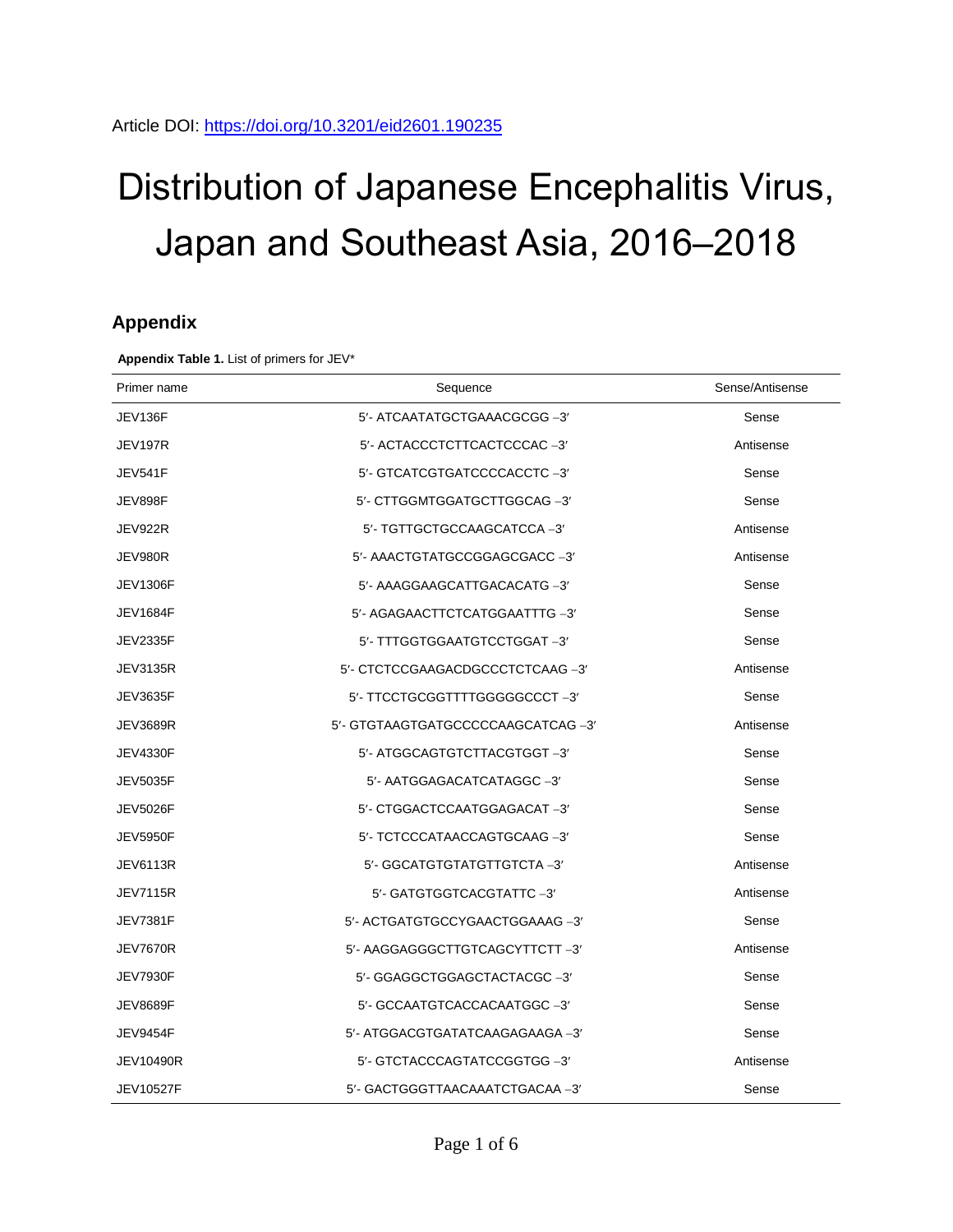# Distribution of Japanese Encephalitis Virus, Japan and Southeast Asia, 2016–2018

## **Appendix**

**Appendix Table 1.** List of primers for JEV\*

| Primer name      | Sequence                           | Sense/Antisense |
|------------------|------------------------------------|-----------------|
| JEV136F          | 5'- ATCAATATGCTGAAACGCGG -3'       | Sense           |
| <b>JEV197R</b>   | 5'- ACTACCCTCTTCACTCCCAC-3'        | Antisense       |
| <b>JEV541F</b>   | 5'- GTCATCGTGATCCCCACCTC-3'        | Sense           |
| JEV898F          | 5'- CTTGGMTGGATGCTTGGCAG -3'       | Sense           |
| JEV922R          | 5'- TGTTGCTGCCAAGCATCCA-3'         | Antisense       |
| JEV980R          | 5'- AAACTGTATGCCGGAGCGACC -3'      | Antisense       |
| <b>JEV1306F</b>  | 5'- AAAGGAAGCATTGACACATG -3'       | Sense           |
| <b>JEV1684F</b>  | 5'- AGAGAACTTCTCATGGAATTTG -3'     | Sense           |
| <b>JEV2335F</b>  | 5'- TTTGGTGGAATGTCCTGGAT-3'        | Sense           |
| <b>JEV3135R</b>  | 5'- CTCTCCGAAGACDGCCCTCTCAAG -3'   | Antisense       |
| <b>JEV3635F</b>  | 5'- TTCCTGCGGTTTTGGGGGCCCT-3'      | Sense           |
| <b>JEV3689R</b>  | 5'- GTGTAAGTGATGCCCCCAAGCATCAG -3' | Antisense       |
| <b>JEV4330F</b>  | 5'- ATGGCAGTGTCTTACGTGGT-3'        | Sense           |
| <b>JEV5035F</b>  | 5'- AATGGAGACATCATAGGC -3'         | Sense           |
| <b>JEV5026F</b>  | 5'- CTGGACTCCAATGGAGACAT-3'        | Sense           |
| <b>JEV5950F</b>  | 5'- TCTCCCATAACCAGTGCAAG -3'       | Sense           |
| <b>JEV6113R</b>  | 5'- GGCATGTGTATGTTGTCTA -3'        | Antisense       |
| <b>JEV7115R</b>  | 5'- GATGTGGTCACGTATTC -3'          | Antisense       |
| <b>JEV7381F</b>  | 5'- ACTGATGTGCCYGAACTGGAAAG -3'    | Sense           |
| <b>JEV7670R</b>  | 5'- AAGGAGGGCTTGTCAGCYTTCTT -3'    | Antisense       |
| <b>JEV7930F</b>  | 5'- GGAGGCTGGAGCTACTACGC-3'        | Sense           |
| <b>JEV8689F</b>  | 5'- GCCAATGTCACCACAATGGC-3'        | Sense           |
| JEV9454F         | 5'- ATGGACGTGATATCAAGAGAAGA -3'    | Sense           |
| <b>JEV10490R</b> | 5'- GTCTACCCAGTATCCGGTGG -3'       | Antisense       |
| <b>JEV10527F</b> | 5'- GACTGGGTTAACAAATCTGACAA -3'    | Sense           |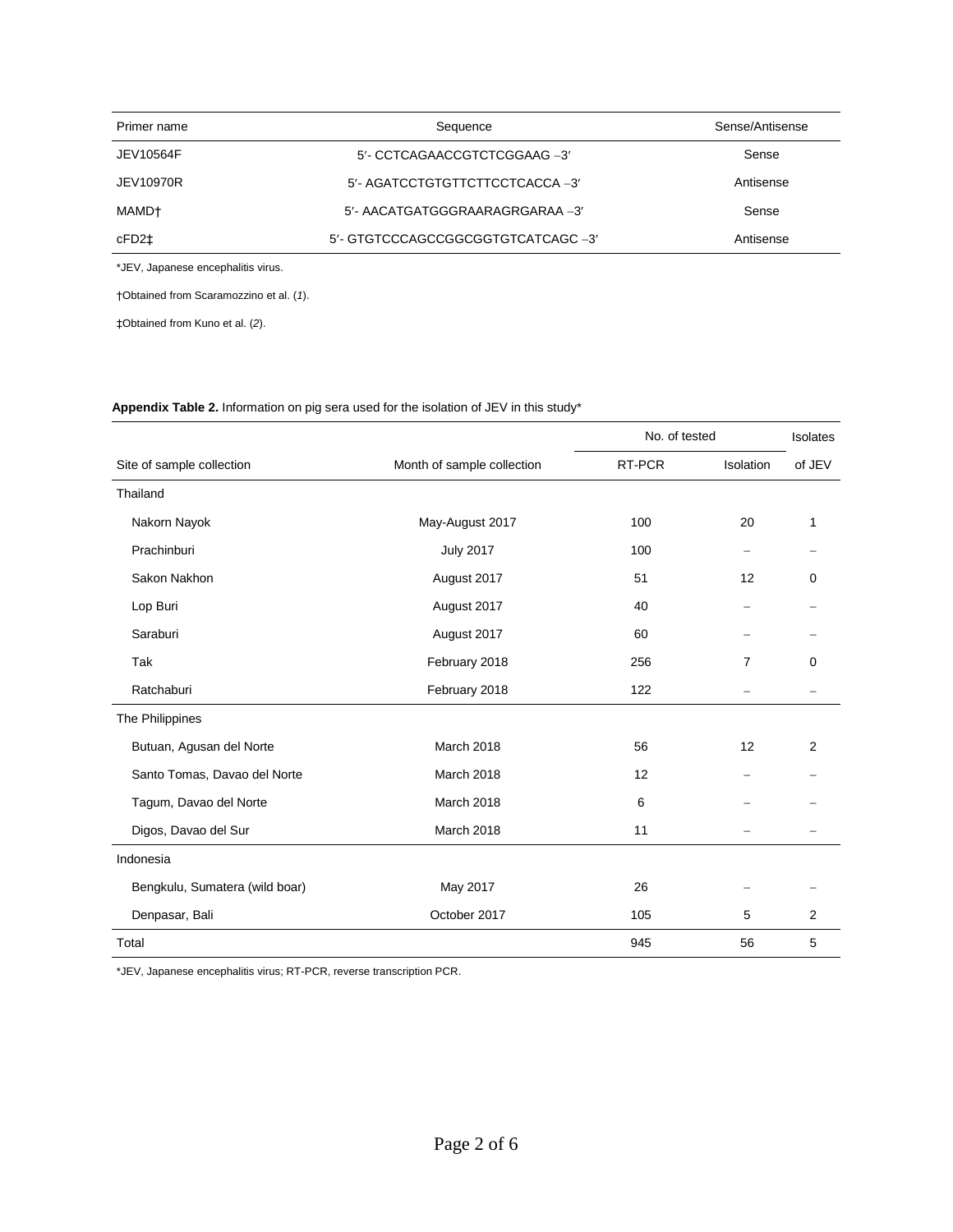| Primer name | Sequence                          | Sense/Antisense |  |  |  |  |
|-------------|-----------------------------------|-----------------|--|--|--|--|
| JEV10564F   | 5'- CCTCAGAACCGTCTCGGAAG -3'      | Sense           |  |  |  |  |
| JEV10970R   | 5'- AGATCCTGTGTTCTTCCTCACCA -3'   | Antisense       |  |  |  |  |
| MAMD†       | 5'- AACATGATGGGRAARAGRGARAA -3'   | Sense           |  |  |  |  |
| cFD2‡       | 5'- GTGTCCCAGCCGGCGGTGTCATCAGC-3' | Antisense       |  |  |  |  |

\*JEV, Japanese encephalitis virus.

†Obtained from Scaramozzino et al. (*1*).

‡Obtained from Kuno et al. (*2*).

#### **Appendix Table 2.** Information on pig sera used for the isolation of JEV in this study\*

|                                |                            | No. of tested | Isolates                 |                |
|--------------------------------|----------------------------|---------------|--------------------------|----------------|
| Site of sample collection      | Month of sample collection | RT-PCR        | Isolation                | of JEV         |
| Thailand                       |                            |               |                          |                |
| Nakorn Nayok                   | May-August 2017            | 100           | 20                       | 1              |
| Prachinburi                    | <b>July 2017</b>           | 100           | -                        |                |
| Sakon Nakhon                   | August 2017                | 51            | 12                       | 0              |
| Lop Buri                       | August 2017                | 40            | $\overline{\phantom{0}}$ |                |
| Saraburi                       | August 2017                | 60            |                          |                |
| Tak                            | February 2018              | 256           | 7                        | 0              |
| Ratchaburi                     | February 2018              | 122           |                          |                |
| The Philippines                |                            |               |                          |                |
| Butuan, Agusan del Norte       | March 2018                 | 56            | 12                       | 2              |
| Santo Tomas, Davao del Norte   | March 2018                 | 12            | $-$                      |                |
| Tagum, Davao del Norte         | March 2018                 | 6             |                          |                |
| Digos, Davao del Sur           | March 2018                 | 11            |                          |                |
| Indonesia                      |                            |               |                          |                |
| Bengkulu, Sumatera (wild boar) | May 2017                   | 26            |                          |                |
| Denpasar, Bali                 | October 2017               | 105           | 5                        | $\overline{2}$ |
| Total                          |                            | 945           | 56                       | 5              |

\*JEV, Japanese encephalitis virus; RT-PCR, reverse transcription PCR.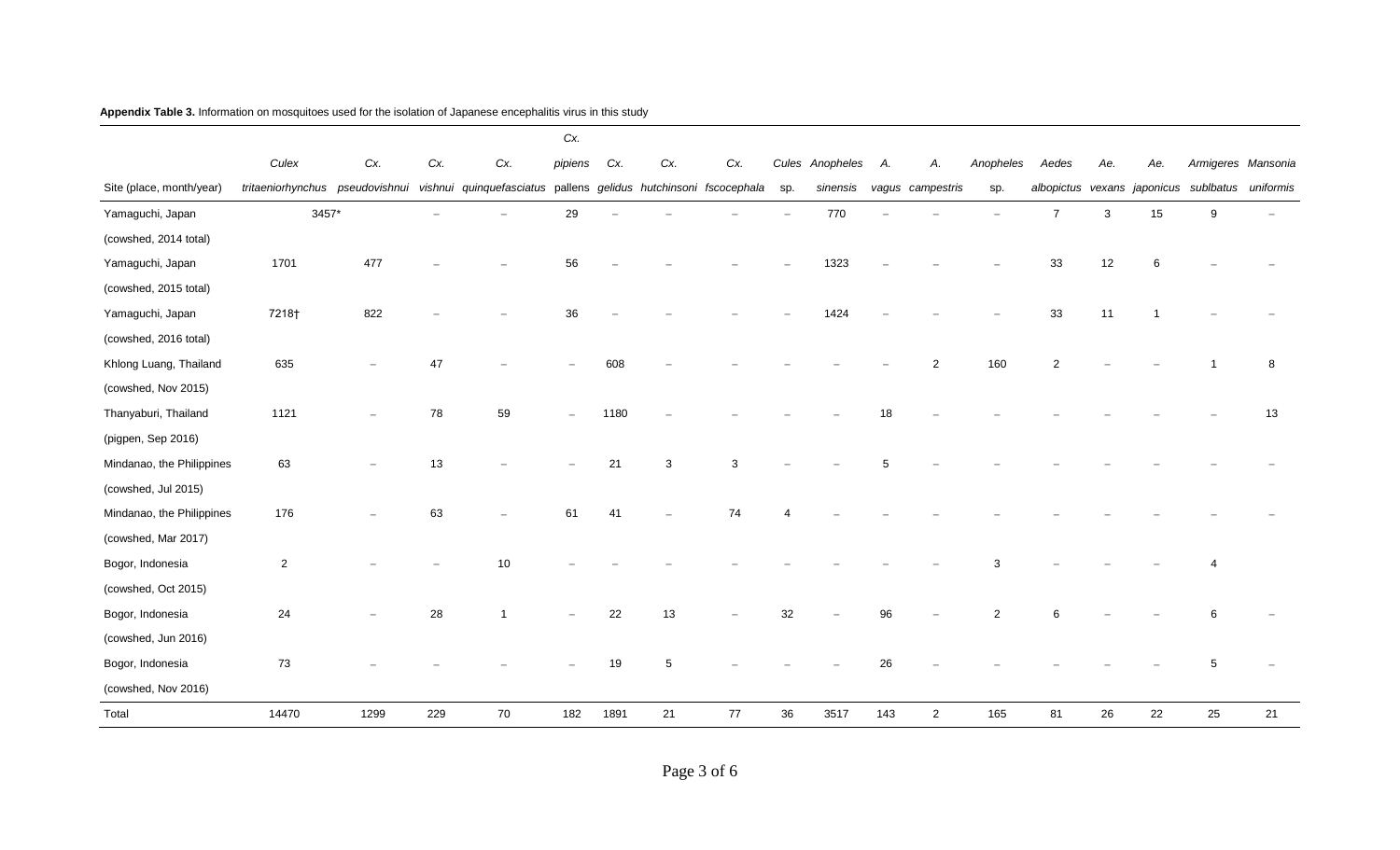|                           |                                 |      |     |                                                                  | Cx.     |      |     |      |     |                 |     |                  |           |                |              |     |                                                 |    |
|---------------------------|---------------------------------|------|-----|------------------------------------------------------------------|---------|------|-----|------|-----|-----------------|-----|------------------|-----------|----------------|--------------|-----|-------------------------------------------------|----|
|                           | Culex                           | Cx.  | Cx. | Cx.                                                              | pipiens | Cx.  | Cx. | Cx.  |     | Cules Anopheles | А.  | Α.               | Anopheles | Aedes          | Ae.          | Ae. | Armigeres Mansonia                              |    |
| Site (place, month/year)  | tritaeniorhynchus pseudovishnui |      |     | vishnui quinquefasciatus pallens gelidus hutchinsoni fscocephala |         |      |     |      | sp. | sinensis        |     | vagus campestris | sp.       |                |              |     | albopictus vexans japonicus sublbatus uniformis |    |
| Yamaguchi, Japan          | 3457*                           |      |     |                                                                  | 29      |      |     |      |     | 770             |     |                  |           | $\overline{7}$ | $\mathbf{3}$ | 15  | 9                                               |    |
| (cowshed, 2014 total)     |                                 |      |     |                                                                  |         |      |     |      |     |                 |     |                  |           |                |              |     |                                                 |    |
| Yamaguchi, Japan          | 1701                            | 477  |     |                                                                  | 56      |      |     |      |     | 1323            |     |                  |           | 33             | 12           | 6   |                                                 |    |
| (cowshed, 2015 total)     |                                 |      |     |                                                                  |         |      |     |      |     |                 |     |                  |           |                |              |     |                                                 |    |
| Yamaguchi, Japan          | 7218†                           | 822  |     |                                                                  | 36      |      |     |      |     | 1424            |     |                  |           | 33             | 11           |     |                                                 |    |
| (cowshed, 2016 total)     |                                 |      |     |                                                                  |         |      |     |      |     |                 |     |                  |           |                |              |     |                                                 |    |
| Khlong Luang, Thailand    | 635                             |      | 47  |                                                                  |         | 608  |     |      |     |                 |     | $\overline{2}$   | 160       | $\overline{2}$ |              |     |                                                 | 8  |
| (cowshed, Nov 2015)       |                                 |      |     |                                                                  |         |      |     |      |     |                 |     |                  |           |                |              |     |                                                 |    |
| Thanyaburi, Thailand      | 1121                            |      | 78  | 59                                                               |         | 1180 |     |      |     |                 |     |                  |           |                |              |     |                                                 | 13 |
| (pigpen, Sep 2016)        |                                 |      |     |                                                                  |         |      |     |      |     |                 |     |                  |           |                |              |     |                                                 |    |
| Mindanao, the Philippines | 63                              |      | 13  |                                                                  |         | 21   | 3   | 3    |     |                 |     |                  |           |                |              |     |                                                 |    |
| (cowshed, Jul 2015)       |                                 |      |     |                                                                  |         |      |     |      |     |                 |     |                  |           |                |              |     |                                                 |    |
| Mindanao, the Philippines | 176                             |      | 63  |                                                                  | 61      | 41   |     | 74   |     |                 |     |                  |           |                |              |     |                                                 |    |
| (cowshed, Mar 2017)       |                                 |      |     |                                                                  |         |      |     |      |     |                 |     |                  |           |                |              |     |                                                 |    |
| Bogor, Indonesia          | $\sqrt{2}$                      |      |     | 10                                                               |         |      |     |      |     |                 |     |                  |           |                |              |     |                                                 |    |
| (cowshed, Oct 2015)       |                                 |      |     |                                                                  |         |      |     |      |     |                 |     |                  |           |                |              |     |                                                 |    |
| Bogor, Indonesia          | 24                              |      | 28  |                                                                  |         | 22   | 13  |      | 32  |                 | 96  |                  | 2         |                |              |     |                                                 |    |
| (cowshed, Jun 2016)       |                                 |      |     |                                                                  |         |      |     |      |     |                 |     |                  |           |                |              |     |                                                 |    |
| Bogor, Indonesia          | 73                              |      |     |                                                                  |         | 19   | 5   |      |     |                 | 26  |                  |           |                |              |     |                                                 |    |
| (cowshed, Nov 2016)       |                                 |      |     |                                                                  |         |      |     |      |     |                 |     |                  |           |                |              |     |                                                 |    |
| Total                     | 14470                           | 1299 | 229 | 70                                                               | 182     | 1891 | 21  | $77$ | 36  | 3517            | 143 | $\overline{a}$   | 165       | 81             | 26           | 22  | 25                                              | 21 |

#### **Appendix Table 3.** Information on mosquitoes used for the isolation of Japanese encephalitis virus in this study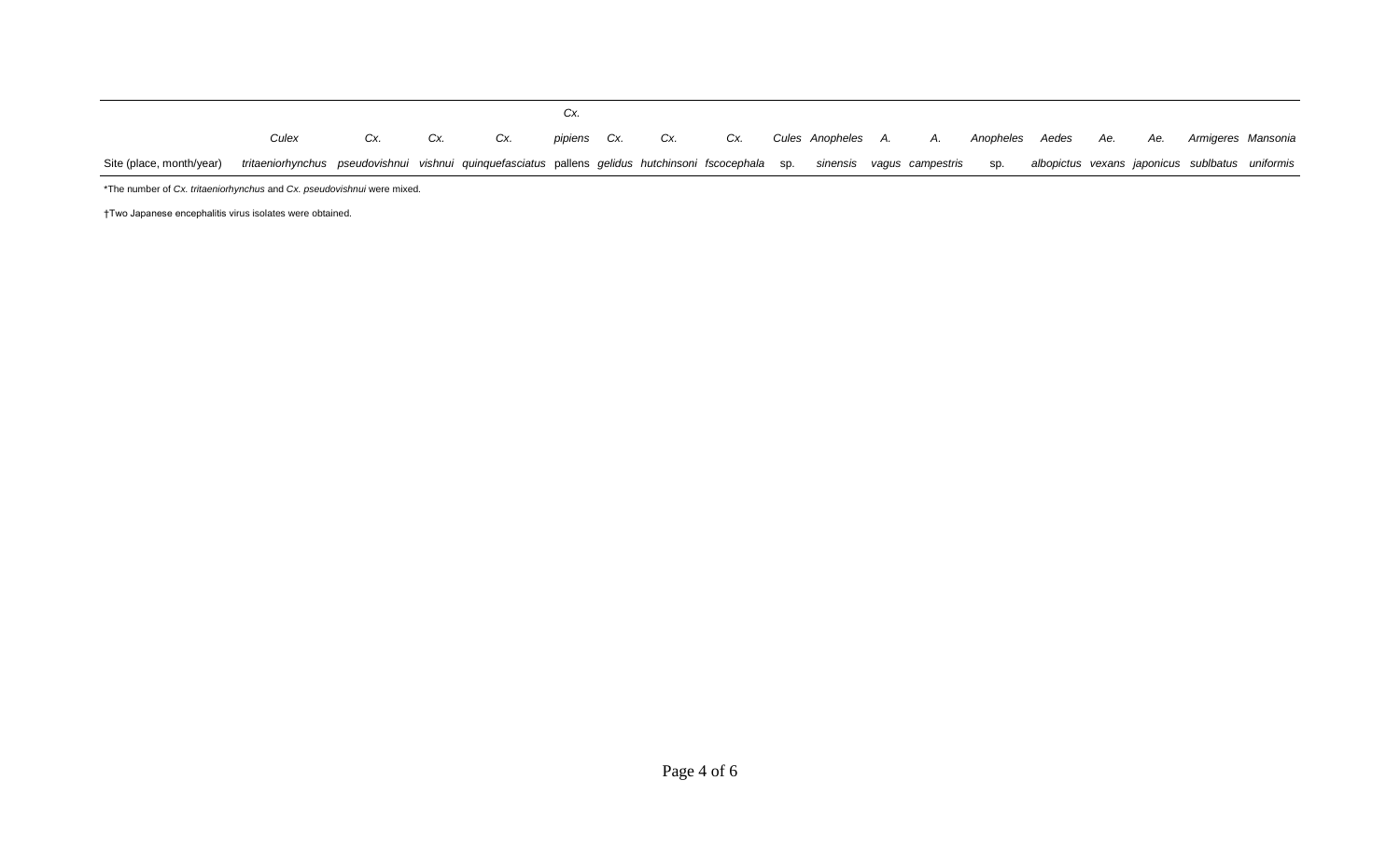Site (place, month/year) *Culex tritaeniorhynchus pseudovishnui vishnui quinquefasciatus* pallens *gelidus hutchinsoni fscocephala* sp. *sinensis vagus campestris Cx. Cx. Cx. Cx. pipiens Cx. Cx. Cx. Cules Anopheles A. A. Anopheles Aedes*  sp. *albopictus vexans japonicus sublbatus uniformis Ae. Ae. Armigeres Mansonia*  \*The number of *Cx. tritaeniorhynchus* and *Cx. pseudovishnui* were mixed.

†Two Japanese encephalitis virus isolates were obtained.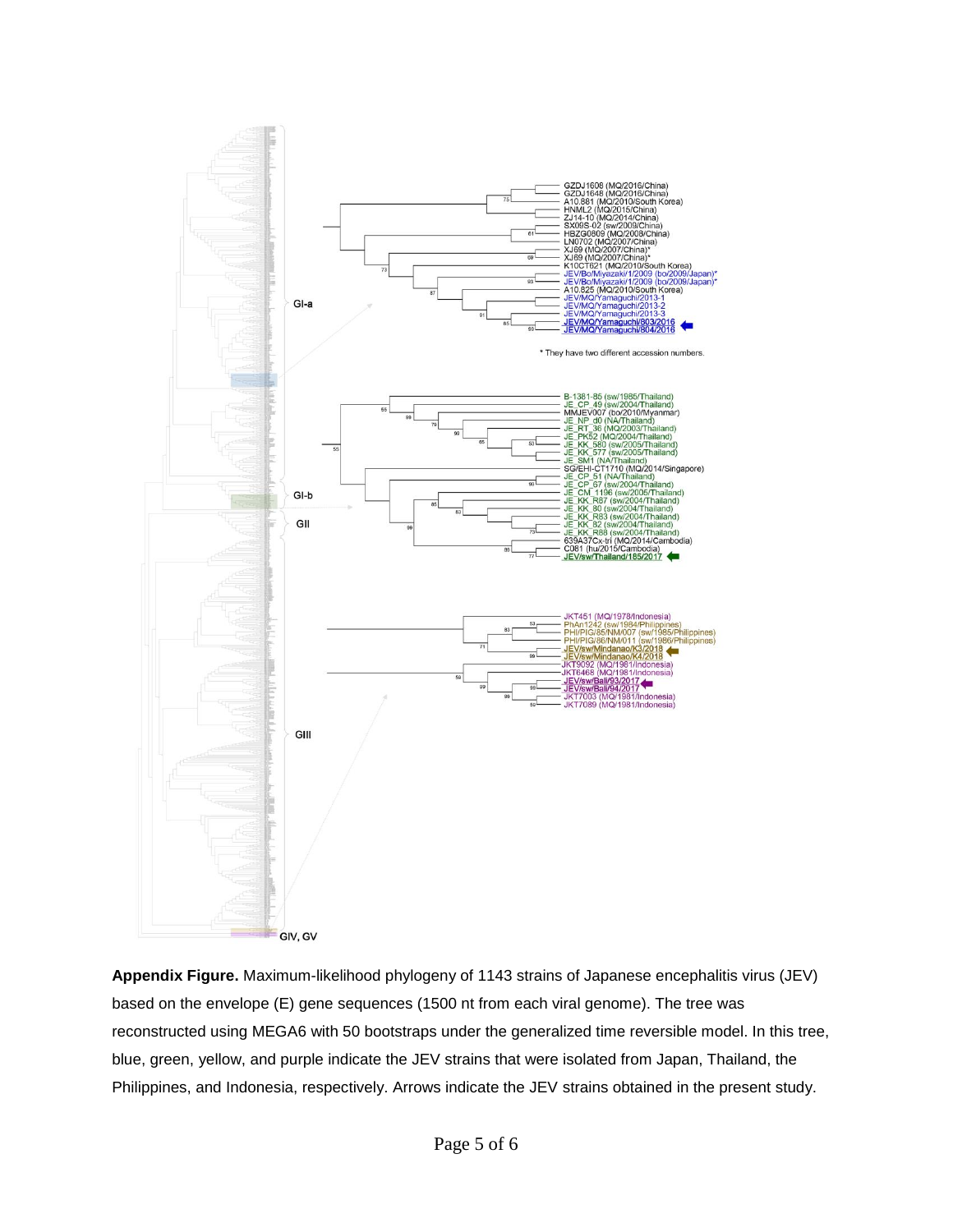

**Appendix Figure.** Maximum-likelihood phylogeny of 1143 strains of Japanese encephalitis virus (JEV) based on the envelope (E) gene sequences (1500 nt from each viral genome). The tree was reconstructed using MEGA6 with 50 bootstraps under the generalized time reversible model. In this tree, blue, green, yellow, and purple indicate the JEV strains that were isolated from Japan, Thailand, the Philippines, and Indonesia, respectively. Arrows indicate the JEV strains obtained in the present study.